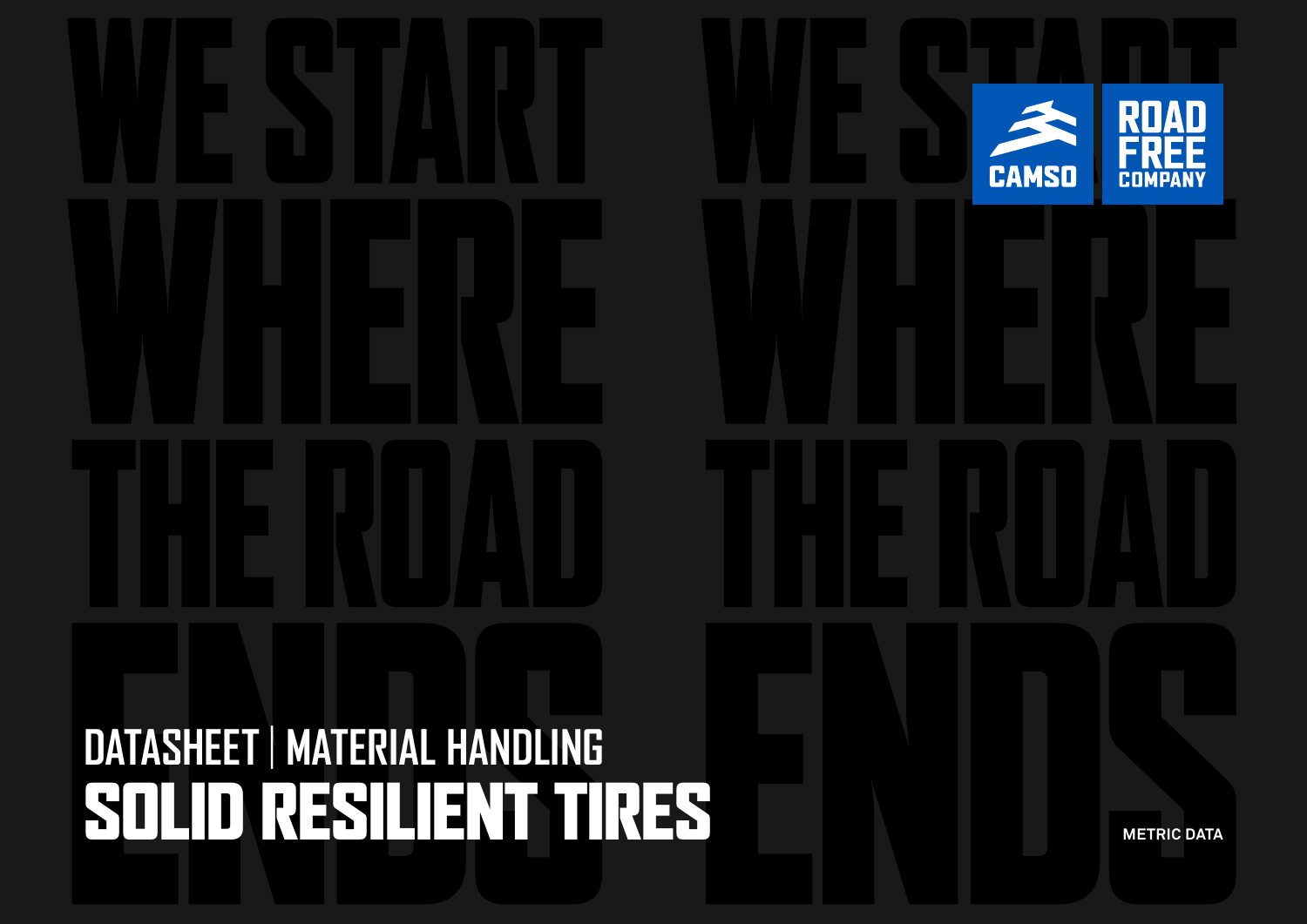

**RT CAMSO Г.ПМРАN)**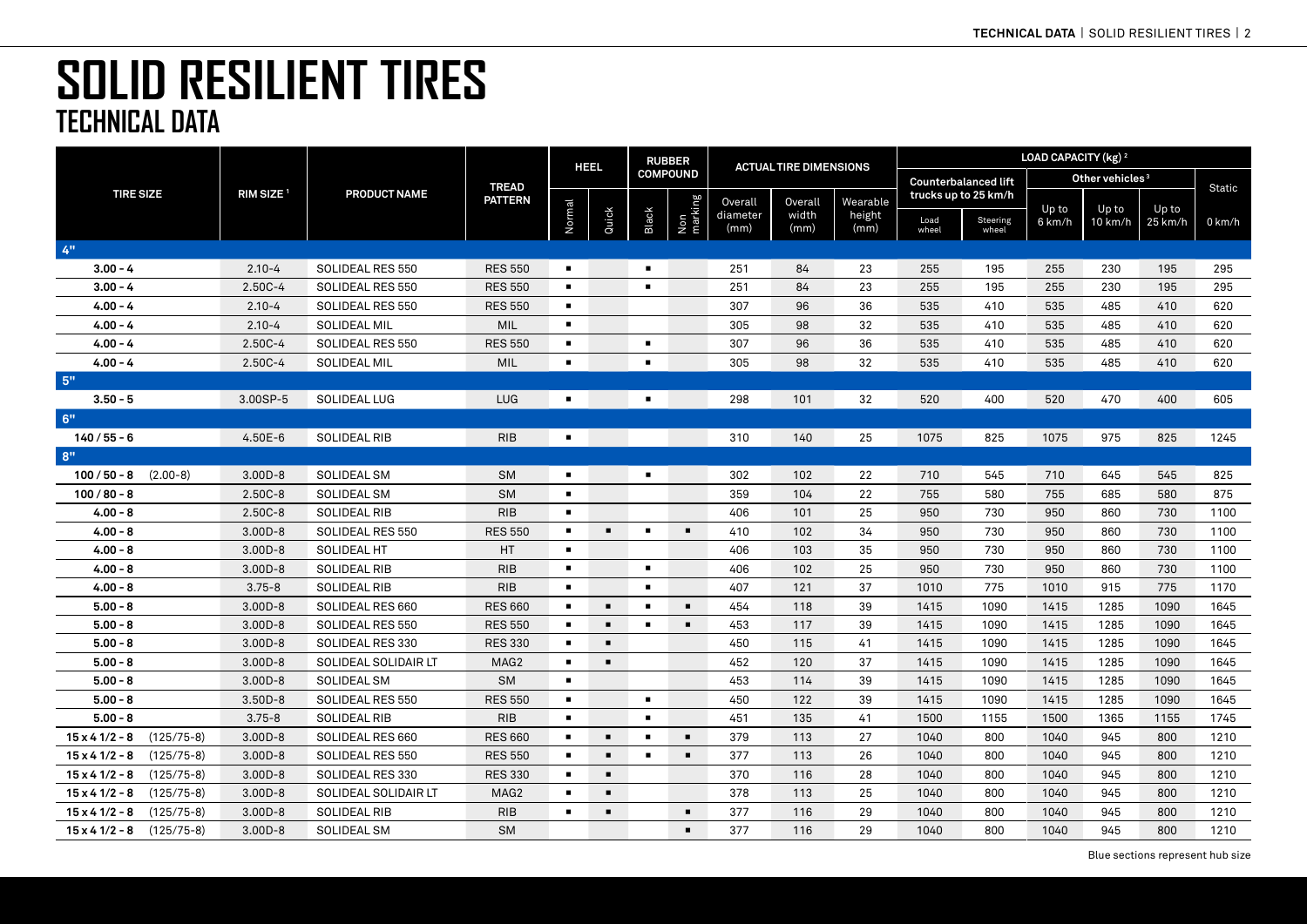|                      |              |                       |                      |                  |                | <b>HEEL</b>    |                | <b>RUBBER</b>  |                  | <b>ACTUAL TIRE DIMENSIONS</b> |                |               |                             | LOAD CAPACITY (kg) <sup>2</sup> |                             |         |          |
|----------------------|--------------|-----------------------|----------------------|------------------|----------------|----------------|----------------|----------------|------------------|-------------------------------|----------------|---------------|-----------------------------|---------------------------------|-----------------------------|---------|----------|
|                      |              |                       |                      | <b>TREAD</b>     |                |                |                | COMPOUND       |                  |                               |                |               | <b>Counterbalanced lift</b> |                                 | Other vehicles <sup>3</sup> |         | Static   |
| <b>TIRE SIZE</b>     |              | RIM SIZE <sup>1</sup> | <b>PRODUCT NAME</b>  | <b>PATTERN</b>   |                |                |                |                | Overall          | Overall                       | Wearable       |               | trucks up to 25 km/h        | Up to                           | Up to                       | Up to   |          |
|                      |              |                       |                      |                  | Normal         | Quick          | Black          | Non<br>marking | diameter<br>(mm) | width<br>(mm)                 | height<br>(mm) | Load<br>wheel | Steering<br>wheel           | 6 km/h                          | 10 km/h                     | 25 km/h | $0$ km/h |
| $4"$                 |              |                       |                      |                  |                |                |                |                |                  |                               |                |               |                             |                                 |                             |         |          |
| $3.00 - 4$           |              | $2.10 - 4$            | SOLIDEAL RES 550     | <b>RES 550</b>   | $\blacksquare$ |                | $\blacksquare$ |                | 251              | 84                            | 23             | 255           | 195                         | 255                             | 230                         | 195     | 295      |
| $3.00 - 4$           |              | $2.50C - 4$           | SOLIDEAL RES 550     | <b>RES 550</b>   | $\blacksquare$ |                | $\blacksquare$ |                | 251              | 84                            | 23             | 255           | 195                         | 255                             | 230                         | 195     | 295      |
| $4.00 - 4$           |              | $2.10 - 4$            | SOLIDEAL RES 550     | <b>RES 550</b>   | $\blacksquare$ |                |                |                | 307              | 96                            | 36             | 535           | 410                         | 535                             | 485                         | 410     | 620      |
| $4.00 - 4$           |              | $2.10 - 4$            | <b>SOLIDEAL MIL</b>  | MIL              | $\blacksquare$ |                |                |                | 305              | 98                            | 32             | 535           | 410                         | 535                             | 485                         | 410     | 620      |
| $4.00 - 4$           |              | 2.50C-4               | SOLIDEAL RES 550     | <b>RES 550</b>   | $\blacksquare$ |                | $\blacksquare$ |                | 307              | 96                            | 36             | 535           | 410                         | 535                             | 485                         | 410     | 620      |
| $4.00 - 4$           |              | 2.50C-4               | <b>SOLIDEAL MIL</b>  | MIL              | $\blacksquare$ |                | $\blacksquare$ |                | 305              | 98                            | 32             | 535           | 410                         | 535                             | 485                         | 410     | 620      |
| 5"                   |              |                       |                      |                  |                |                |                |                |                  |                               |                |               |                             |                                 |                             |         |          |
| $3.50 - 5$           |              | 3.00SP-5              | SOLIDEAL LUG         | <b>LUG</b>       | $\blacksquare$ |                | $\blacksquare$ |                | 298              | 101                           | 32             | 520           | 400                         | 520                             | 470                         | 400     | 605      |
| 6"                   |              |                       |                      |                  |                |                |                |                |                  |                               |                |               |                             |                                 |                             |         |          |
| $140/55 - 6$         |              | 4.50E-6               | SOLIDEAL RIB         | <b>RIB</b>       | $\blacksquare$ |                |                |                | 310              | 140                           | 25             | 1075          | 825                         | 1075                            | 975                         | 825     | 1245     |
| 8"                   |              |                       |                      |                  |                |                |                |                |                  |                               |                |               |                             |                                 |                             |         |          |
| $100/50 - 8$         | $(2.00-8)$   | $3.00D - 8$           | SOLIDEAL SM          | <b>SM</b>        | $\blacksquare$ |                | $\blacksquare$ |                | 302              | 102                           | 22             | 710           | 545                         | 710                             | 645                         | 545     | 825      |
| $100/80 - 8$         |              | $2.50C - 8$           | <b>SOLIDEAL SM</b>   | <b>SM</b>        | $\blacksquare$ |                |                |                | 359              | 104                           | 22             | 755           | 580                         | 755                             | 685                         | 580     | 875      |
| $4.00 - 8$           |              | $2.50C-8$             | <b>SOLIDEAL RIB</b>  | <b>RIB</b>       | $\blacksquare$ |                |                |                | 406              | 101                           | 25             | 950           | 730                         | 950                             | 860                         | 730     | 1100     |
| $4.00 - 8$           |              | $3.00D - 8$           | SOLIDEAL RES 550     | <b>RES 550</b>   | $\blacksquare$ | $\blacksquare$ | $\blacksquare$ | $\blacksquare$ | 410              | 102                           | 34             | 950           | 730                         | 950                             | 860                         | 730     | 1100     |
| $4.00 - 8$           |              | $3.00D - 8$           | SOLIDEAL HT          | HT               | $\blacksquare$ |                |                |                | 406              | 103                           | 35             | 950           | 730                         | 950                             | 860                         | 730     | 1100     |
| $4.00 - 8$           |              | $3.00D - 8$           | SOLIDEAL RIB         | <b>RIB</b>       | $\blacksquare$ |                | $\blacksquare$ |                | 406              | 102                           | 25             | 950           | 730                         | 950                             | 860                         | 730     | 1100     |
| $4.00 - 8$           |              | $3.75 - 8$            | SOLIDEAL RIB         | <b>RIB</b>       | $\blacksquare$ |                | $\blacksquare$ |                | 407              | 121                           | 37             | 1010          | 775                         | 1010                            | 915                         | 775     | 1170     |
| $5.00 - 8$           |              | $3.00D - 8$           | SOLIDEAL RES 660     | <b>RES 660</b>   | $\blacksquare$ | $\blacksquare$ | $\blacksquare$ | $\blacksquare$ | 454              | 118                           | 39             | 1415          | 1090                        | 1415                            | 1285                        | 1090    | 1645     |
| $5.00 - 8$           |              | $3.00D - 8$           | SOLIDEAL RES 550     | <b>RES 550</b>   | $\blacksquare$ | $\blacksquare$ | $\blacksquare$ | $\blacksquare$ | 453              | 117                           | 39             | 1415          | 1090                        | 1415                            | 1285                        | 1090    | 1645     |
| $5.00 - 8$           |              | $3.00D - 8$           | SOLIDEAL RES 330     | <b>RES 330</b>   | $\blacksquare$ | $\blacksquare$ |                |                | 450              | 115                           | 41             | 1415          | 1090                        | 1415                            | 1285                        | 1090    | 1645     |
| $5.00 - 8$           |              | $3.00D - 8$           | SOLIDEAL SOLIDAIR LT | MAG <sub>2</sub> | $\blacksquare$ | $\blacksquare$ |                |                | 452              | 120                           | 37             | 1415          | 1090                        | 1415                            | 1285                        | 1090    | 1645     |
| $5.00 - 8$           |              | $3.00D - 8$           | SOLIDEAL SM          | <b>SM</b>        | $\blacksquare$ |                |                |                | 453              | 114                           | 39             | 1415          | 1090                        | 1415                            | 1285                        | 1090    | 1645     |
| $5.00 - 8$           |              | $3.50D-8$             | SOLIDEAL RES 550     | <b>RES 550</b>   | $\blacksquare$ |                | $\blacksquare$ |                | 450              | 122                           | 39             | 1415          | 1090                        | 1415                            | 1285                        | 1090    | 1645     |
| $5.00 - 8$           |              | $3.75 - 8$            | SOLIDEAL RIB         | <b>RIB</b>       | $\blacksquare$ |                | $\blacksquare$ |                | 451              | 135                           | 41             | 1500          | 1155                        | 1500                            | 1365                        | 1155    | 1745     |
| $15 \times 41/2 - 8$ | $(125/75-8)$ | $3.00D - 8$           | SOLIDEAL RES 660     | <b>RES 660</b>   | $\blacksquare$ | $\blacksquare$ | $\blacksquare$ | $\blacksquare$ | 379              | 113                           | 27             | 1040          | 800                         | 1040                            | 945                         | 800     | 1210     |
| $15 \times 41/2 - 8$ | $(125/75-8)$ | $3.00D - 8$           | SOLIDEAL RES 550     | <b>RES 550</b>   | $\blacksquare$ | $\blacksquare$ | $\blacksquare$ | $\blacksquare$ | 377              | 113                           | 26             | 1040          | 800                         | 1040                            | 945                         | 800     | 1210     |
| $15 \times 41/2 - 8$ | $(125/75-8)$ | $3.00D - 8$           | SOLIDEAL RES 330     | <b>RES 330</b>   | $\blacksquare$ | $\blacksquare$ |                |                | 370              | 116                           | 28             | 1040          | 800                         | 1040                            | 945                         | 800     | 1210     |
| $15 \times 41/2 - 8$ | $(125/75-8)$ | $3.00D - 8$           | SOLIDEAL SOLIDAIR LT | MAG <sub>2</sub> | $\blacksquare$ | $\blacksquare$ |                |                | 378              | 113                           | 25             | 1040          | 800                         | 1040                            | 945                         | 800     | 1210     |
| $15 \times 41/2 - 8$ | $(125/75-8)$ | $3.00D-8$             | SOLIDEAL RIB         | <b>RIB</b>       | $\blacksquare$ | $\blacksquare$ |                | $\blacksquare$ | 377              | 116                           | 29             | 1040          | 800                         | 1040                            | 945                         | 800     | 1210     |
| $15 \times 41/2 - 8$ | $(125/75-8)$ | $3.00D - 8$           | SOLIDEAL SM          | <b>SM</b>        |                |                |                | $\blacksquare$ | 377              | 116                           | 29             | 1040          | 800                         | 1040                            | 945                         | 800     | 1210     |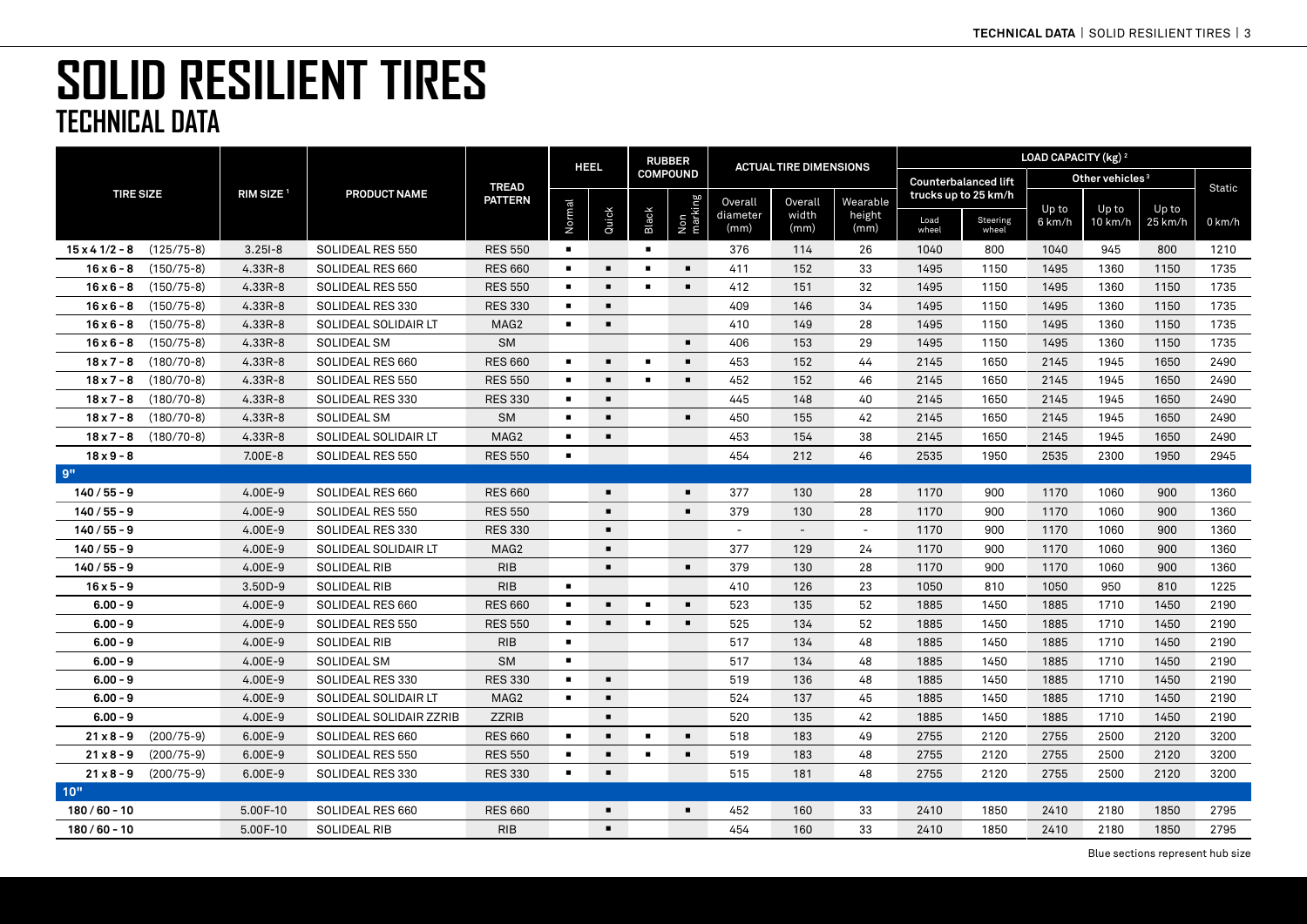|                      |              |                       |                         |                  | <b>HEEL</b>    |                | <b>RUBBER</b>  |                 | <b>ACTUAL TIRE DIMENSIONS</b> |               |                          |               | LOAD CAPACITY (kg) <sup>2</sup> |        |                             |         |        |
|----------------------|--------------|-----------------------|-------------------------|------------------|----------------|----------------|----------------|-----------------|-------------------------------|---------------|--------------------------|---------------|---------------------------------|--------|-----------------------------|---------|--------|
|                      |              |                       |                         | <b>TREAD</b>     |                |                |                | <b>COMPOUND</b> |                               |               |                          |               | <b>Counterbalanced lift</b>     |        | Other vehicles <sup>3</sup> |         | Static |
| <b>TIRE SIZE</b>     |              | RIM SIZE <sup>1</sup> | <b>PRODUCT NAME</b>     | <b>PATTERN</b>   |                |                |                |                 | Overall                       | Overall       | Wearable                 |               | trucks up to 25 km/h            | Up to  | Up to                       | Up to   |        |
|                      |              |                       |                         | <b>RES 550</b>   | Normal         | Quick          | Black          | Non<br>marking  | diameter<br>(mm)              | width<br>(mm) | height<br>(mm)           | Load<br>wheel | Steering<br>wheel               | 6 km/h | 10 km/h                     | 25 km/h | 0 km/h |
| $15 \times 41/2 - 8$ | $(125/75-8)$ | $3.251 - 8$           | SOLIDEAL RES 550        |                  | $\blacksquare$ |                | $\blacksquare$ |                 | 376                           | 114           | 26                       | 1040          | 800                             | 1040   | 945                         | 800     | 1210   |
| $16 \times 6 - 8$    | $(150/75-8)$ | $4.33R - 8$           | SOLIDEAL RES 660        | <b>RES 660</b>   | $\blacksquare$ | $\blacksquare$ | $\blacksquare$ | $\blacksquare$  | 411                           | 152           | 33                       | 1495          | 1150                            | 1495   | 1360                        | 1150    | 1735   |
| $16 \times 6 - 8$    | $(150/75-8)$ | $4.33R - 8$           | SOLIDEAL RES 550        | <b>RES 550</b>   | $\blacksquare$ | $\blacksquare$ | $\blacksquare$ | $\blacksquare$  | 412                           | 151           | 32                       | 1495          | 1150                            | 1495   | 1360                        | 1150    | 1735   |
| $16 \times 6 - 8$    | $(150/75-8)$ | $4.33R - 8$           | SOLIDEAL RES 330        | <b>RES 330</b>   | $\blacksquare$ | $\blacksquare$ |                |                 | 409                           | 146           | 34                       | 1495          | 1150                            | 1495   | 1360                        | 1150    | 1735   |
| $16 \times 6 - 8$    | $(150/75-8)$ | $4.33R - 8$           | SOLIDEAL SOLIDAIR LT    | MAG <sub>2</sub> | $\blacksquare$ | п              |                |                 | 410                           | 149           | 28                       | 1495          | 1150                            | 1495   | 1360                        | 1150    | 1735   |
| $16 \times 6 - 8$    | $(150/75-8)$ | $4.33R - 8$           | SOLIDEAL SM             | <b>SM</b>        |                |                |                | $\blacksquare$  | 406                           | 153           | 29                       | 1495          | 1150                            | 1495   | 1360                        | 1150    | 1735   |
| $18 \times 7 - 8$    | $(180/70-8)$ | $4.33R - 8$           | SOLIDEAL RES 660        | <b>RES 660</b>   | $\blacksquare$ | $\blacksquare$ | $\blacksquare$ | $\blacksquare$  | 453                           | 152           | 44                       | 2145          | 1650                            | 2145   | 1945                        | 1650    | 2490   |
| $18 \times 7 - 8$    | $(180/70-8)$ | $4.33R - 8$           | SOLIDEAL RES 550        | <b>RES 550</b>   | $\blacksquare$ | $\blacksquare$ | $\blacksquare$ | $\blacksquare$  | 452                           | 152           | 46                       | 2145          | 1650                            | 2145   | 1945                        | 1650    | 2490   |
| $18 \times 7 - 8$    | $(180/70-8)$ | $4.33R - 8$           | SOLIDEAL RES 330        | <b>RES 330</b>   | $\blacksquare$ | $\blacksquare$ |                |                 | 445                           | 148           | 40                       | 2145          | 1650                            | 2145   | 1945                        | 1650    | 2490   |
| $18 \times 7 - 8$    | $(180/70-8)$ | $4.33R - 8$           | SOLIDEAL SM             | <b>SM</b>        | $\blacksquare$ | п              |                | $\blacksquare$  | 450                           | 155           | 42                       | 2145          | 1650                            | 2145   | 1945                        | 1650    | 2490   |
| $18 \times 7 - 8$    | $(180/70-8)$ | $4.33R - 8$           | SOLIDEAL SOLIDAIR LT    | MAG2             | $\blacksquare$ | $\blacksquare$ |                |                 | 453                           | 154           | 38                       | 2145          | 1650                            | 2145   | 1945                        | 1650    | 2490   |
| $18 \times 9 - 8$    |              | 7.00E-8               | SOLIDEAL RES 550        | <b>RES 550</b>   | $\blacksquare$ |                |                |                 | 454                           | 212           | 46                       | 2535          | 1950                            | 2535   | 2300                        | 1950    | 2945   |
| 9"                   |              |                       |                         |                  |                |                |                |                 |                               |               |                          |               |                                 |        |                             |         |        |
| $140/55 - 9$         |              | 4.00E-9               | SOLIDEAL RES 660        | <b>RES 660</b>   |                | $\blacksquare$ |                | $\blacksquare$  | 377                           | 130           | 28                       | 1170          | 900                             | 1170   | 1060                        | 900     | 1360   |
| $140/55 - 9$         |              | 4.00E-9               | SOLIDEAL RES 550        | <b>RES 550</b>   |                | $\blacksquare$ |                | $\blacksquare$  | 379                           | 130           | 28                       | 1170          | 900                             | 1170   | 1060                        | 900     | 1360   |
| $140/55 - 9$         |              | 4.00E-9               | SOLIDEAL RES 330        | <b>RES 330</b>   |                | $\blacksquare$ |                |                 |                               |               | $\overline{\phantom{a}}$ | 1170          | 900                             | 1170   | 1060                        | 900     | 1360   |
| $140/55 - 9$         |              | 4.00E-9               | SOLIDEAL SOLIDAIR LT    | MAG <sub>2</sub> |                | $\blacksquare$ |                |                 | 377                           | 129           | 24                       | 1170          | 900                             | 1170   | 1060                        | 900     | 1360   |
| $140/55 - 9$         |              | 4.00E-9               | SOLIDEAL RIB            | <b>RIB</b>       |                | $\blacksquare$ |                | $\blacksquare$  | 379                           | 130           | 28                       | 1170          | 900                             | 1170   | 1060                        | 900     | 1360   |
| $16 \times 5 - 9$    |              | $3.50D-9$             | SOLIDEAL RIB            | <b>RIB</b>       | $\blacksquare$ |                |                |                 | 410                           | 126           | 23                       | 1050          | 810                             | 1050   | 950                         | 810     | 1225   |
| $6.00 - 9$           |              | 4.00E-9               | SOLIDEAL RES 660        | <b>RES 660</b>   | $\blacksquare$ | п              | $\blacksquare$ | $\blacksquare$  | 523                           | 135           | 52                       | 1885          | 1450                            | 1885   | 1710                        | 1450    | 2190   |
| $6.00 - 9$           |              | 4.00E-9               | SOLIDEAL RES 550        | <b>RES 550</b>   | $\blacksquare$ | п              | $\blacksquare$ | $\blacksquare$  | 525                           | 134           | 52                       | 1885          | 1450                            | 1885   | 1710                        | 1450    | 2190   |
| $6.00 - 9$           |              | 4.00E-9               | <b>SOLIDEAL RIB</b>     | <b>RIB</b>       | $\blacksquare$ |                |                |                 | 517                           | 134           | 48                       | 1885          | 1450                            | 1885   | 1710                        | 1450    | 2190   |
| $6.00 - 9$           |              | 4.00E-9               | <b>SOLIDEAL SM</b>      | <b>SM</b>        | $\blacksquare$ |                |                |                 | 517                           | 134           | 48                       | 1885          | 1450                            | 1885   | 1710                        | 1450    | 2190   |
| $6.00 - 9$           |              | 4.00E-9               | SOLIDEAL RES 330        | <b>RES 330</b>   | $\blacksquare$ | п              |                |                 | 519                           | 136           | 48                       | 1885          | 1450                            | 1885   | 1710                        | 1450    | 2190   |
| $6.00 - 9$           |              | 4.00E-9               | SOLIDEAL SOLIDAIR LT    | MAG <sub>2</sub> | $\blacksquare$ | п              |                |                 | 524                           | 137           | 45                       | 1885          | 1450                            | 1885   | 1710                        | 1450    | 2190   |
| $6.00 - 9$           |              | 4.00E-9               | SOLIDEAL SOLIDAIR ZZRIB | <b>ZZRIB</b>     |                | п              |                |                 | 520                           | 135           | 42                       | 1885          | 1450                            | 1885   | 1710                        | 1450    | 2190   |
| $21 \times 8 - 9$    | $(200/75-9)$ | $6.00E-9$             | SOLIDEAL RES 660        | <b>RES 660</b>   | $\blacksquare$ | п              | $\blacksquare$ | $\blacksquare$  | 518                           | 183           | 49                       | 2755          | 2120                            | 2755   | 2500                        | 2120    | 3200   |
| $21 \times 8 - 9$    | $(200/75-9)$ | $6.00E-9$             | SOLIDEAL RES 550        | <b>RES 550</b>   | $\blacksquare$ | п              | $\blacksquare$ | $\blacksquare$  | 519                           | 183           | 48                       | 2755          | 2120                            | 2755   | 2500                        | 2120    | 3200   |
| $21 \times 8 - 9$    | $(200/75-9)$ | 6.00E-9               | SOLIDEAL RES 330        | <b>RES 330</b>   | $\blacksquare$ | п              |                |                 | 515                           | 181           | 48                       | 2755          | 2120                            | 2755   | 2500                        | 2120    | 3200   |
| 10"                  |              |                       |                         |                  |                |                |                |                 |                               |               |                          |               |                                 |        |                             |         |        |
| $180/60 - 10$        |              | 5.00F-10              | SOLIDEAL RES 660        | <b>RES 660</b>   |                | п              |                | $\blacksquare$  | 452                           | 160           | 33                       | 2410          | 1850                            | 2410   | 2180                        | 1850    | 2795   |
| $180/60 - 10$        |              | 5.00F-10              | SOLIDEAL RIB            | <b>RIB</b>       |                | $\blacksquare$ |                |                 | 454                           | 160           | 33                       | 2410          | 1850                            | 2410   | 2180                        | 1850    | 2795   |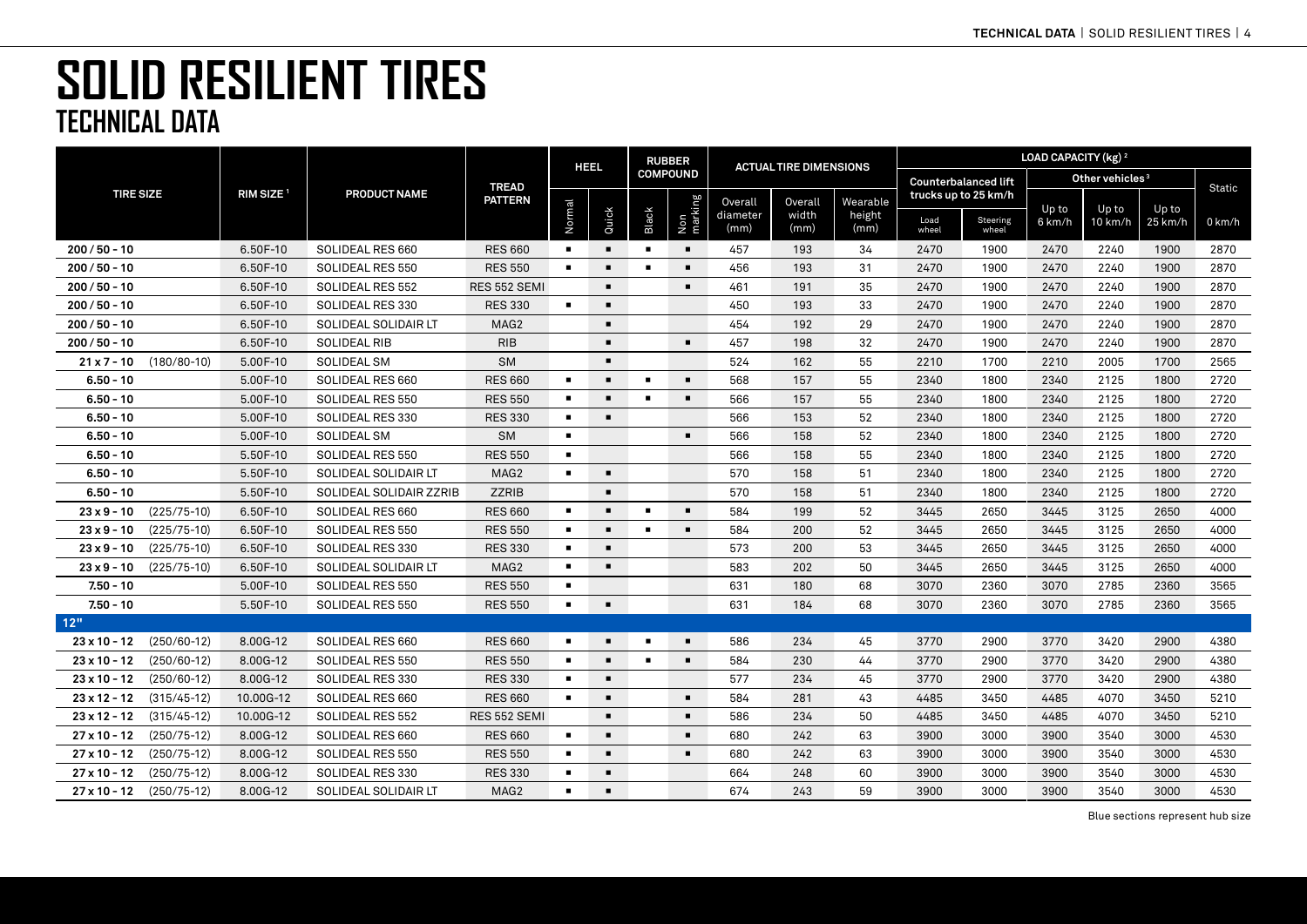|                     |               |                       |                         |                  |                | HEEL           |                | <b>RUBBER</b>  |                  | <b>ACTUAL TIRE DIMENSIONS</b> |                |               |                             | LOAD CAPACITY (kg) <sup>2</sup> |                             |         |        |
|---------------------|---------------|-----------------------|-------------------------|------------------|----------------|----------------|----------------|----------------|------------------|-------------------------------|----------------|---------------|-----------------------------|---------------------------------|-----------------------------|---------|--------|
|                     |               |                       |                         | <b>TREAD</b>     |                |                |                | COMPOUND       |                  |                               |                |               | <b>Counterbalanced lift</b> |                                 | Other vehicles <sup>3</sup> |         | Static |
| <b>TIRE SIZE</b>    |               | RIM SIZE <sup>1</sup> | <b>PRODUCT NAME</b>     | <b>PATTERN</b>   |                |                |                |                | Overall          | Overall                       | Wearable       |               | trucks up to 25 km/h        | Up to                           | Up to                       | Up to   |        |
|                     |               |                       |                         |                  | Normal         | Quick          | Black          | Non<br>marking | diameter<br>(mm) | width<br>(mm)                 | height<br>(mm) | Load<br>wheel | Steering<br>wheel           | 6 km/h                          | 10 km/h                     | 25 km/h | 0 km/h |
| $200/50 - 10$       |               | 6.50F-10              | SOLIDEAL RES 660        | <b>RES 660</b>   | $\blacksquare$ | $\blacksquare$ | $\blacksquare$ | $\blacksquare$ | 457              | 193                           | 34             | 2470          | 1900                        | 2470                            | 2240                        | 1900    | 2870   |
| $200/50 - 10$       |               | 6.50F-10              | SOLIDEAL RES 550        | <b>RES 550</b>   | $\blacksquare$ |                | $\blacksquare$ | $\blacksquare$ | 456              | 193                           | 31             | 2470          | 1900                        | 2470                            | 2240                        | 1900    | 2870   |
| $200/50 - 10$       |               | 6.50F-10              | SOLIDEAL RES 552        | RES 552 SEMI     |                | $\blacksquare$ |                | $\blacksquare$ | 461              | 191                           | 35             | 2470          | 1900                        | 2470                            | 2240                        | 1900    | 2870   |
| $200/50 - 10$       |               | 6.50F-10              | SOLIDEAL RES 330        | <b>RES 330</b>   | $\blacksquare$ | $\blacksquare$ |                |                | 450              | 193                           | 33             | 2470          | 1900                        | 2470                            | 2240                        | 1900    | 2870   |
| $200/50 - 10$       |               | 6.50F-10              | SOLIDEAL SOLIDAIR LT    | MAG <sub>2</sub> |                | $\blacksquare$ |                |                | 454              | 192                           | 29             | 2470          | 1900                        | 2470                            | 2240                        | 1900    | 2870   |
| $200/50 - 10$       |               | 6.50F-10              | <b>SOLIDEAL RIB</b>     | <b>RIB</b>       |                | $\blacksquare$ |                | $\blacksquare$ | 457              | 198                           | 32             | 2470          | 1900                        | 2470                            | 2240                        | 1900    | 2870   |
| $21 \times 7 - 10$  | $(180/80-10)$ | 5.00F-10              | <b>SOLIDEAL SM</b>      | <b>SM</b>        |                | $\blacksquare$ |                |                | 524              | 162                           | 55             | 2210          | 1700                        | 2210                            | 2005                        | 1700    | 2565   |
| $6.50 - 10$         |               | 5.00F-10              | SOLIDEAL RES 660        | <b>RES 660</b>   | $\blacksquare$ | $\blacksquare$ | $\blacksquare$ | $\blacksquare$ | 568              | 157                           | 55             | 2340          | 1800                        | 2340                            | 2125                        | 1800    | 2720   |
| $6.50 - 10$         |               | 5.00F-10              | SOLIDEAL RES 550        | <b>RES 550</b>   | $\blacksquare$ | $\blacksquare$ | $\blacksquare$ | $\blacksquare$ | 566              | 157                           | 55             | 2340          | 1800                        | 2340                            | 2125                        | 1800    | 2720   |
| $6.50 - 10$         |               | 5.00F-10              | SOLIDEAL RES 330        | <b>RES 330</b>   | $\blacksquare$ | $\blacksquare$ |                |                | 566              | 153                           | 52             | 2340          | 1800                        | 2340                            | 2125                        | 1800    | 2720   |
| $6.50 - 10$         |               | 5.00F-10              | SOLIDEAL SM             | <b>SM</b>        | $\blacksquare$ |                |                | $\blacksquare$ | 566              | 158                           | 52             | 2340          | 1800                        | 2340                            | 2125                        | 1800    | 2720   |
| $6.50 - 10$         |               | 5.50F-10              | SOLIDEAL RES 550        | <b>RES 550</b>   | $\blacksquare$ |                |                |                | 566              | 158                           | 55             | 2340          | 1800                        | 2340                            | 2125                        | 1800    | 2720   |
| $6.50 - 10$         |               | 5.50F-10              | SOLIDEAL SOLIDAIR LT    | MAG <sub>2</sub> | $\blacksquare$ | п              |                |                | 570              | 158                           | 51             | 2340          | 1800                        | 2340                            | 2125                        | 1800    | 2720   |
| $6.50 - 10$         |               | 5.50F-10              | SOLIDEAL SOLIDAIR ZZRIB | <b>ZZRIB</b>     |                | $\blacksquare$ |                |                | 570              | 158                           | 51             | 2340          | 1800                        | 2340                            | 2125                        | 1800    | 2720   |
| $23 \times 9 - 10$  | $(225/75-10)$ | 6.50F-10              | SOLIDEAL RES 660        | <b>RES 660</b>   | $\blacksquare$ | п              | $\blacksquare$ | $\blacksquare$ | 584              | 199                           | 52             | 3445          | 2650                        | 3445                            | 3125                        | 2650    | 4000   |
| $23 \times 9 - 10$  | $(225/75-10)$ | 6.50F-10              | SOLIDEAL RES 550        | <b>RES 550</b>   | $\blacksquare$ | п              | $\blacksquare$ | $\blacksquare$ | 584              | 200                           | 52             | 3445          | 2650                        | 3445                            | 3125                        | 2650    | 4000   |
| $23 \times 9 - 10$  | $(225/75-10)$ | 6.50F-10              | SOLIDEAL RES 330        | <b>RES 330</b>   | $\blacksquare$ | $\blacksquare$ |                |                | 573              | 200                           | 53             | 3445          | 2650                        | 3445                            | 3125                        | 2650    | 4000   |
| $23 \times 9 - 10$  | $(225/75-10)$ | 6.50F-10              | SOLIDEAL SOLIDAIR LT    | MAG <sub>2</sub> | $\blacksquare$ | $\blacksquare$ |                |                | 583              | 202                           | 50             | 3445          | 2650                        | 3445                            | 3125                        | 2650    | 4000   |
| $7.50 - 10$         |               | 5.00F-10              | SOLIDEAL RES 550        | <b>RES 550</b>   | $\blacksquare$ |                |                |                | 631              | 180                           | 68             | 3070          | 2360                        | 3070                            | 2785                        | 2360    | 3565   |
| $7.50 - 10$         |               | 5.50F-10              | SOLIDEAL RES 550        | <b>RES 550</b>   | $\blacksquare$ | $\blacksquare$ |                |                | 631              | 184                           | 68             | 3070          | 2360                        | 3070                            | 2785                        | 2360    | 3565   |
| $12"$               |               |                       |                         |                  |                |                |                |                |                  |                               |                |               |                             |                                 |                             |         |        |
| $23 \times 10 - 12$ | $(250/60-12)$ | 8.00G-12              | SOLIDEAL RES 660        | <b>RES 660</b>   | $\blacksquare$ | п              | $\blacksquare$ | $\blacksquare$ | 586              | 234                           | 45             | 3770          | 2900                        | 3770                            | 3420                        | 2900    | 4380   |
| $23 \times 10 - 12$ | $(250/60-12)$ | 8.00G-12              | SOLIDEAL RES 550        | <b>RES 550</b>   | $\blacksquare$ | $\blacksquare$ | $\blacksquare$ | $\blacksquare$ | 584              | 230                           | 44             | 3770          | 2900                        | 3770                            | 3420                        | 2900    | 4380   |
| $23 \times 10 - 12$ | $(250/60-12)$ | 8.00G-12              | SOLIDEAL RES 330        | <b>RES 330</b>   | $\blacksquare$ | п              |                |                | 577              | 234                           | 45             | 3770          | 2900                        | 3770                            | 3420                        | 2900    | 4380   |
| $23 \times 12 - 12$ | $(315/45-12)$ | 10.00G-12             | SOLIDEAL RES 660        | <b>RES 660</b>   | $\blacksquare$ |                |                | $\blacksquare$ | 584              | 281                           | 43             | 4485          | 3450                        | 4485                            | 4070                        | 3450    | 5210   |
| $23 \times 12 - 12$ | $(315/45-12)$ | 10.00G-12             | SOLIDEAL RES 552        | RES 552 SEMI     |                | $\blacksquare$ |                | $\blacksquare$ | 586              | 234                           | 50             | 4485          | 3450                        | 4485                            | 4070                        | 3450    | 5210   |
| $27 \times 10 - 12$ | $(250/75-12)$ | 8.00G-12              | SOLIDEAL RES 660        | <b>RES 660</b>   | $\blacksquare$ | $\blacksquare$ |                | $\blacksquare$ | 680              | 242                           | 63             | 3900          | 3000                        | 3900                            | 3540                        | 3000    | 4530   |
| $27 \times 10 - 12$ | $(250/75-12)$ | 8.00G-12              | SOLIDEAL RES 550        | <b>RES 550</b>   | $\blacksquare$ | п              |                | $\blacksquare$ | 680              | 242                           | 63             | 3900          | 3000                        | 3900                            | 3540                        | 3000    | 4530   |
| $27 \times 10 - 12$ | $(250/75-12)$ | 8.00G-12              | SOLIDEAL RES 330        | <b>RES 330</b>   | $\blacksquare$ | $\blacksquare$ |                |                | 664              | 248                           | 60             | 3900          | 3000                        | 3900                            | 3540                        | 3000    | 4530   |
| $27 \times 10 - 12$ | $(250/75-12)$ | 8.00G-12              | SOLIDEAL SOLIDAIR LT    | MAG <sub>2</sub> | $\blacksquare$ | п              |                |                | 674              | 243                           | 59             | 3900          | 3000                        | 3900                            | 3540                        | 3000    | 4530   |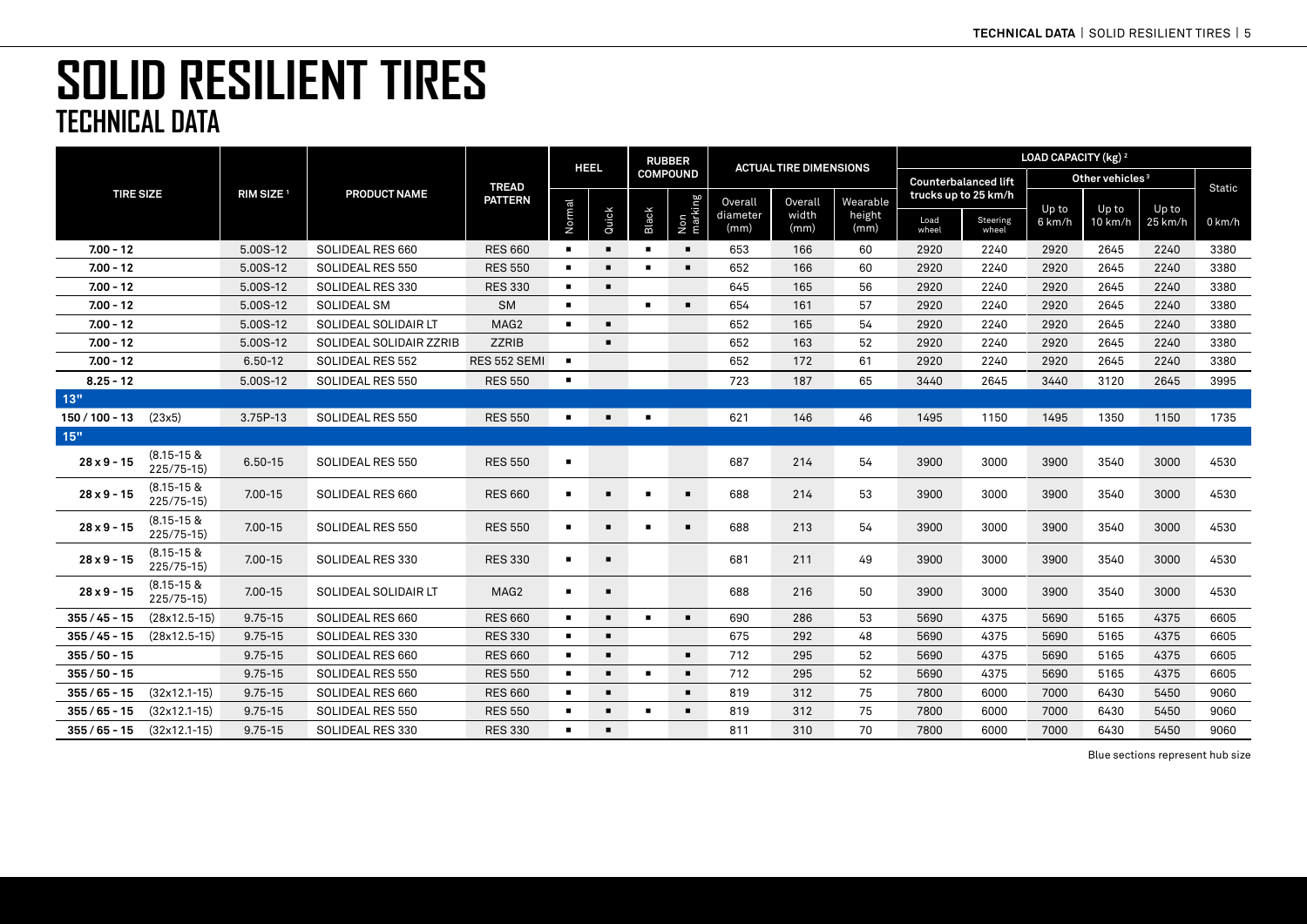|                    |                                |                       |                         |                  | <b>HEEL</b>    |                | <b>RUBBER</b>  |                 | <b>ACTUAL TIRE DIMENSIONS</b> |               |                |               | LOAD CAPACITY (kg) <sup>2</sup> |        |                             |         |          |
|--------------------|--------------------------------|-----------------------|-------------------------|------------------|----------------|----------------|----------------|-----------------|-------------------------------|---------------|----------------|---------------|---------------------------------|--------|-----------------------------|---------|----------|
|                    |                                |                       |                         | <b>TREAD</b>     |                |                |                | <b>COMPOUND</b> |                               |               |                |               | <b>Counterbalanced lift</b>     |        | Other vehicles <sup>3</sup> |         | Static   |
| <b>TIRE SIZE</b>   |                                | RIM SIZE <sup>1</sup> | <b>PRODUCT NAME</b>     | <b>PATTERN</b>   |                |                |                |                 | Overall                       | Overall       | Wearable       |               | trucks up to 25 km/h            | Up to  | Up to                       | Up to   |          |
|                    |                                |                       |                         |                  | Normal         | Quick          | Black          | Non<br>marking  | diameter<br>(mm)              | width<br>(mm) | height<br>(mm) | Load<br>wheel | Steering<br>wheel               | 6 km/h | 10 km/h                     | 25 km/h | $0$ km/h |
| $7.00 - 12$        |                                | 5.00S-12              | SOLIDEAL RES 660        | <b>RES 660</b>   | $\blacksquare$ | п              | $\blacksquare$ | $\blacksquare$  | 653                           | 166           | 60             | 2920          | 2240                            | 2920   | 2645                        | 2240    | 3380     |
| $7.00 - 12$        |                                | 5.00S-12              | SOLIDEAL RES 550        | <b>RES 550</b>   | ٠              |                | $\blacksquare$ | $\blacksquare$  | 652                           | 166           | 60             | 2920          | 2240                            | 2920   | 2645                        | 2240    | 3380     |
| $7.00 - 12$        |                                | 5.00S-12              | SOLIDEAL RES 330        | <b>RES 330</b>   | $\blacksquare$ |                |                |                 | 645                           | 165           | 56             | 2920          | 2240                            | 2920   | 2645                        | 2240    | 3380     |
| $7.00 - 12$        |                                | 5.00S-12              | <b>SOLIDEAL SM</b>      | <b>SM</b>        | $\blacksquare$ |                | $\blacksquare$ | $\blacksquare$  | 654                           | 161           | 57             | 2920          | 2240                            | 2920   | 2645                        | 2240    | 3380     |
| $7.00 - 12$        |                                | 5.00S-12              | SOLIDEAL SOLIDAIR LT    | MAG <sub>2</sub> | $\blacksquare$ | п              |                |                 | 652                           | 165           | 54             | 2920          | 2240                            | 2920   | 2645                        | 2240    | 3380     |
| $7.00 - 12$        |                                | 5.00S-12              | SOLIDEAL SOLIDAIR ZZRIB | <b>ZZRIB</b>     |                | $\blacksquare$ |                |                 | 652                           | 163           | 52             | 2920          | 2240                            | 2920   | 2645                        | 2240    | 3380     |
| $7.00 - 12$        |                                | $6.50 - 12$           | SOLIDEAL RES 552        | RES 552 SEMI     | $\blacksquare$ |                |                |                 | 652                           | 172           | 61             | 2920          | 2240                            | 2920   | 2645                        | 2240    | 3380     |
| $8.25 - 12$        |                                | 5.00S-12              | SOLIDEAL RES 550        | <b>RES 550</b>   | $\blacksquare$ |                |                |                 | 723                           | 187           | 65             | 3440          | 2645                            | 3440   | 3120                        | 2645    | 3995     |
| 13"                |                                |                       |                         |                  |                |                |                |                 |                               |               |                |               |                                 |        |                             |         |          |
| 150 / 100 - 13     | (23x5)                         | 3.75P-13              | SOLIDEAL RES 550        | <b>RES 550</b>   | $\blacksquare$ | $\blacksquare$ | $\blacksquare$ |                 | 621                           | 146           | 46             | 1495          | 1150                            | 1495   | 1350                        | 1150    | 1735     |
| $15"$              |                                |                       |                         |                  |                |                |                |                 |                               |               |                |               |                                 |        |                             |         |          |
| $28 \times 9 - 15$ | $(8.15 - 15)$<br>$225/75 - 15$ | $6.50 - 15$           | SOLIDEAL RES 550        | <b>RES 550</b>   | $\blacksquare$ |                |                |                 | 687                           | 214           | 54             | 3900          | 3000                            | 3900   | 3540                        | 3000    | 4530     |
| $28 \times 9 - 15$ | $(8.15 - 15)$<br>$225/75-15$   | $7.00 - 15$           | SOLIDEAL RES 660        | <b>RES 660</b>   | $\blacksquare$ |                | $\blacksquare$ | $\blacksquare$  | 688                           | 214           | 53             | 3900          | 3000                            | 3900   | 3540                        | 3000    | 4530     |
| $28 \times 9 - 15$ | $(8.15 - 15)$<br>$225/75-15$   | $7.00 - 15$           | SOLIDEAL RES 550        | <b>RES 550</b>   | $\blacksquare$ | п              | $\blacksquare$ | $\blacksquare$  | 688                           | 213           | 54             | 3900          | 3000                            | 3900   | 3540                        | 3000    | 4530     |
| $28 \times 9 - 15$ | $(8.15 - 15)$<br>$225/75-15$   | $7.00 - 15$           | SOLIDEAL RES 330        | <b>RES 330</b>   | $\blacksquare$ | $\blacksquare$ |                |                 | 681                           | 211           | 49             | 3900          | 3000                            | 3900   | 3540                        | 3000    | 4530     |
| $28 \times 9 - 15$ | $(8.15 - 15)$<br>$225/75-15$   | $7.00 - 15$           | SOLIDEAL SOLIDAIR LT    | MAG <sub>2</sub> | $\blacksquare$ | $\blacksquare$ |                |                 | 688                           | 216           | 50             | 3900          | 3000                            | 3900   | 3540                        | 3000    | 4530     |
| $355/45 - 15$      | $(28x12.5-15)$                 | $9.75 - 15$           | SOLIDEAL RES 660        | <b>RES 660</b>   | $\blacksquare$ | $\blacksquare$ | $\blacksquare$ | $\blacksquare$  | 690                           | 286           | 53             | 5690          | 4375                            | 5690   | 5165                        | 4375    | 6605     |
| $355/45 - 15$      | $(28x12.5-15)$                 | $9.75 - 15$           | SOLIDEAL RES 330        | <b>RES 330</b>   | $\blacksquare$ | п              |                |                 | 675                           | 292           | 48             | 5690          | 4375                            | 5690   | 5165                        | 4375    | 6605     |
| $355/50 - 15$      |                                | $9.75 - 15$           | SOLIDEAL RES 660        | <b>RES 660</b>   | $\blacksquare$ | п              |                | $\blacksquare$  | 712                           | 295           | 52             | 5690          | 4375                            | 5690   | 5165                        | 4375    | 6605     |
| $355/50 - 15$      |                                | $9.75 - 15$           | SOLIDEAL RES 550        | <b>RES 550</b>   | $\blacksquare$ | $\blacksquare$ | $\blacksquare$ | $\blacksquare$  | 712                           | 295           | 52             | 5690          | 4375                            | 5690   | 5165                        | 4375    | 6605     |
| $355/65 - 15$      | $(32x12.1-15)$                 | $9.75 - 15$           | SOLIDEAL RES 660        | <b>RES 660</b>   | $\blacksquare$ | $\blacksquare$ |                | $\blacksquare$  | 819                           | 312           | 75             | 7800          | 6000                            | 7000   | 6430                        | 5450    | 9060     |
| $355/65 - 15$      | $(32x12.1-15)$                 | $9.75 - 15$           | SOLIDEAL RES 550        | <b>RES 550</b>   | $\blacksquare$ |                | $\blacksquare$ |                 | 819                           | 312           | 75             | 7800          | 6000                            | 7000   | 6430                        | 5450    | 9060     |
| $355/65 - 15$      | $(32x12.1-15)$                 | $9.75 - 15$           | SOLIDEAL RES 330        | <b>RES 330</b>   | $\blacksquare$ |                |                |                 | 811                           | 310           | 70             | 7800          | 6000                            | 7000   | 6430                        | 5450    | 9060     |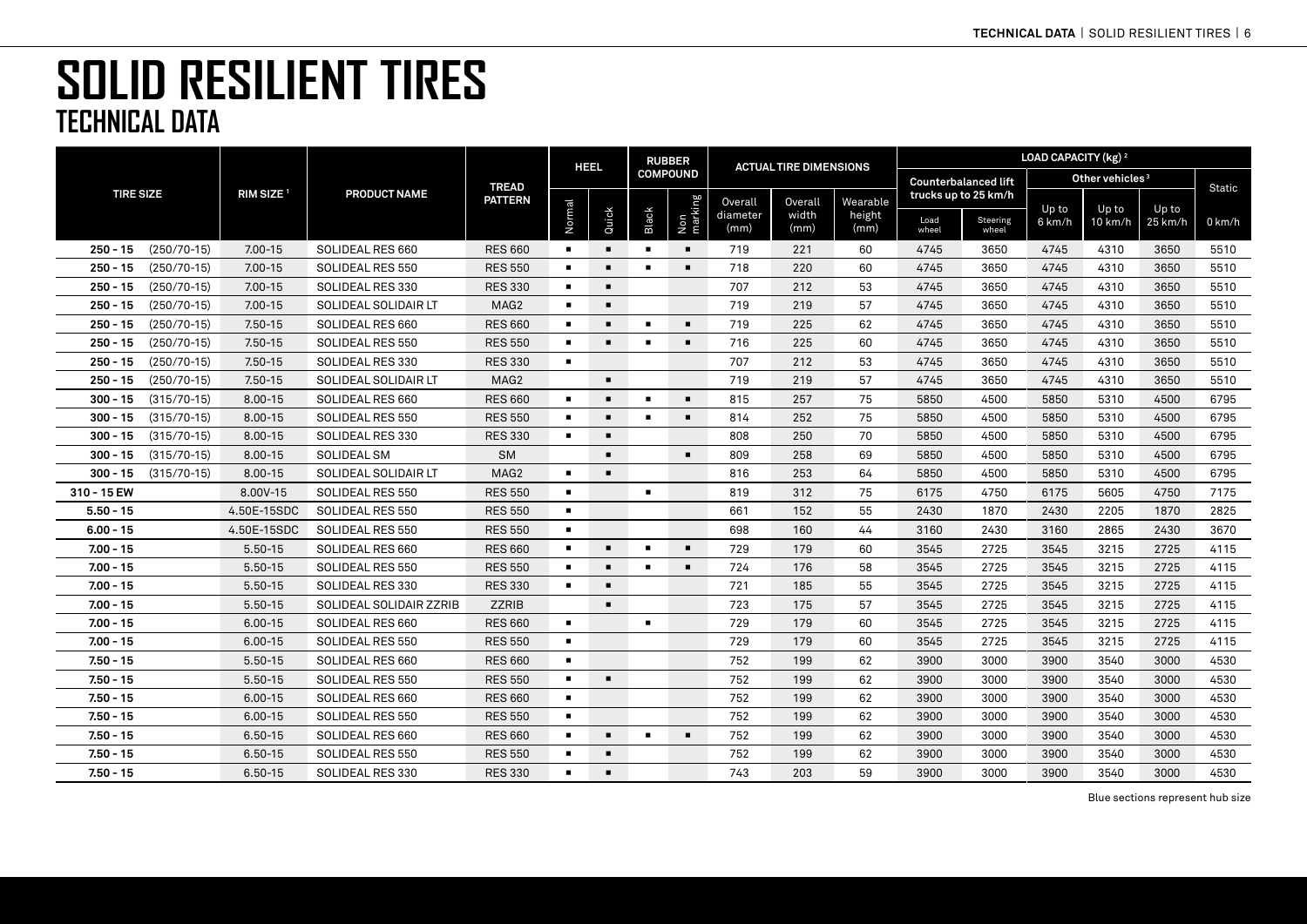|                  |               |                       |                         |                  |                | <b>HEEL</b>    |                | <b>RUBBER</b>   |                  | <b>ACTUAL TIRE DIMENSIONS</b> |                |               |                             | LOAD CAPACITY (kg) <sup>2</sup> |                             |         |          |
|------------------|---------------|-----------------------|-------------------------|------------------|----------------|----------------|----------------|-----------------|------------------|-------------------------------|----------------|---------------|-----------------------------|---------------------------------|-----------------------------|---------|----------|
|                  |               |                       |                         | <b>TREAD</b>     |                |                |                | <b>COMPOUND</b> |                  |                               |                |               | <b>Counterbalanced lift</b> |                                 | Other vehicles <sup>3</sup> |         | Static   |
| <b>TIRE SIZE</b> |               | RIM SIZE <sup>1</sup> | PRODUCT NAME            | <b>PATTERN</b>   |                |                |                |                 | Overall          | Overall                       | Wearable       |               | trucks up to 25 km/h        |                                 | Up to                       | Up to   |          |
|                  |               |                       |                         | <b>RES 660</b>   | Normal         | Quick          | Black          | Non<br>marking  | diameter<br>(mm) | width<br>(mm)                 | height<br>(mm) | Load<br>wheel | <b>Steering</b><br>wheel    | Up to<br>6 km/h                 | 10 km/h                     | 25 km/h | $0$ km/h |
| $250 - 15$       | $(250/70-15)$ | $7.00 - 15$           | SOLIDEAL RES 660        |                  | $\blacksquare$ | $\blacksquare$ | $\blacksquare$ | $\blacksquare$  | 719              | 221                           | 60             | 4745          | 3650                        | 4745                            | 4310                        | 3650    | 5510     |
| $250 - 15$       | $(250/70-15)$ | $7.00 - 15$           | SOLIDEAL RES 550        | <b>RES 550</b>   | $\blacksquare$ |                | $\blacksquare$ | $\blacksquare$  | 718              | 220                           | 60             | 4745          | 3650                        | 4745                            | 4310                        | 3650    | 5510     |
| $250 - 15$       | $(250/70-15)$ | $7.00 - 15$           | SOLIDEAL RES 330        | <b>RES 330</b>   | $\blacksquare$ | п              |                |                 | 707              | 212                           | 53             | 4745          | 3650                        | 4745                            | 4310                        | 3650    | 5510     |
| $250 - 15$       | $(250/70-15)$ | $7.00 - 15$           | SOLIDEAL SOLIDAIR LT    | MAG <sub>2</sub> | $\blacksquare$ | ۰              |                |                 | 719              | 219                           | 57             | 4745          | 3650                        | 4745                            | 4310                        | 3650    | 5510     |
| $250 - 15$       | $(250/70-15)$ | $7.50 - 15$           | SOLIDEAL RES 660        | <b>RES 660</b>   | $\blacksquare$ |                | $\blacksquare$ | $\blacksquare$  | 719              | 225                           | 62             | 4745          | 3650                        | 4745                            | 4310                        | 3650    | 5510     |
| $250 - 15$       | $(250/70-15)$ | $7.50 - 15$           | SOLIDEAL RES 550        | <b>RES 550</b>   | $\blacksquare$ |                | $\blacksquare$ | $\blacksquare$  | 716              | 225                           | 60             | 4745          | 3650                        | 4745                            | 4310                        | 3650    | 5510     |
| $250 - 15$       | $(250/70-15)$ | $7.50 - 15$           | SOLIDEAL RES 330        | <b>RES 330</b>   | $\blacksquare$ |                |                |                 | 707              | 212                           | 53             | 4745          | 3650                        | 4745                            | 4310                        | 3650    | 5510     |
| $250 - 15$       | $(250/70-15)$ | $7.50 - 15$           | SOLIDEAL SOLIDAIR LT    | MAG <sub>2</sub> |                | $\blacksquare$ |                |                 | 719              | 219                           | 57             | 4745          | 3650                        | 4745                            | 4310                        | 3650    | 5510     |
| $300 - 15$       | $(315/70-15)$ | $8.00 - 15$           | SOLIDEAL RES 660        | <b>RES 660</b>   | $\blacksquare$ | $\blacksquare$ | $\blacksquare$ | $\blacksquare$  | 815              | 257                           | 75             | 5850          | 4500                        | 5850                            | 5310                        | 4500    | 6795     |
| $300 - 15$       | $(315/70-15)$ | $8.00 - 15$           | SOLIDEAL RES 550        | <b>RES 550</b>   | $\blacksquare$ | $\blacksquare$ | $\blacksquare$ | $\blacksquare$  | 814              | 252                           | 75             | 5850          | 4500                        | 5850                            | 5310                        | 4500    | 6795     |
| $300 - 15$       | $(315/70-15)$ | $8.00 - 15$           | SOLIDEAL RES 330        | <b>RES 330</b>   | $\blacksquare$ | п              |                |                 | 808              | 250                           | 70             | 5850          | 4500                        | 5850                            | 5310                        | 4500    | 6795     |
| $300 - 15$       | $(315/70-15)$ | $8.00 - 15$           | <b>SOLIDEAL SM</b>      | <b>SM</b>        |                | $\blacksquare$ |                | $\blacksquare$  | 809              | 258                           | 69             | 5850          | 4500                        | 5850                            | 5310                        | 4500    | 6795     |
| $300 - 15$       | $(315/70-15)$ | $8.00 - 15$           | SOLIDEAL SOLIDAIR LT    | MAG2             | $\blacksquare$ | $\blacksquare$ |                |                 | 816              | 253                           | 64             | 5850          | 4500                        | 5850                            | 5310                        | 4500    | 6795     |
| 310 - 15 EW      |               | 8.00V-15              | SOLIDEAL RES 550        | <b>RES 550</b>   | $\blacksquare$ |                | $\blacksquare$ |                 | 819              | 312                           | 75             | 6175          | 4750                        | 6175                            | 5605                        | 4750    | 7175     |
| $5.50 - 15$      |               | 4.50E-15SDC           | SOLIDEAL RES 550        | <b>RES 550</b>   | $\blacksquare$ |                |                |                 | 661              | 152                           | 55             | 2430          | 1870                        | 2430                            | 2205                        | 1870    | 2825     |
| $6.00 - 15$      |               | 4.50E-15SDC           | SOLIDEAL RES 550        | <b>RES 550</b>   | $\blacksquare$ |                |                |                 | 698              | 160                           | 44             | 3160          | 2430                        | 3160                            | 2865                        | 2430    | 3670     |
| $7.00 - 15$      |               | $5.50 - 15$           | SOLIDEAL RES 660        | <b>RES 660</b>   | $\blacksquare$ |                |                | $\blacksquare$  | 729              | 179                           | 60             | 3545          | 2725                        | 3545                            | 3215                        | 2725    | 4115     |
| $7.00 - 15$      |               | $5.50 - 15$           | SOLIDEAL RES 550        | <b>RES 550</b>   | $\blacksquare$ | $\blacksquare$ | $\blacksquare$ | $\blacksquare$  | 724              | 176                           | 58             | 3545          | 2725                        | 3545                            | 3215                        | 2725    | 4115     |
| $7.00 - 15$      |               | $5.50 - 15$           | SOLIDEAL RES 330        | <b>RES 330</b>   | $\blacksquare$ | $\blacksquare$ |                |                 | 721              | 185                           | 55             | 3545          | 2725                        | 3545                            | 3215                        | 2725    | 4115     |
| $7.00 - 15$      |               | 5.50-15               | SOLIDEAL SOLIDAIR ZZRIB | <b>ZZRIB</b>     |                |                |                |                 | 723              | 175                           | 57             | 3545          | 2725                        | 3545                            | 3215                        | 2725    | 4115     |
| $7.00 - 15$      |               | $6.00 - 15$           | SOLIDEAL RES 660        | <b>RES 660</b>   | $\blacksquare$ |                | $\blacksquare$ |                 | 729              | 179                           | 60             | 3545          | 2725                        | 3545                            | 3215                        | 2725    | 4115     |
| $7.00 - 15$      |               | $6.00 - 15$           | SOLIDEAL RES 550        | <b>RES 550</b>   | $\blacksquare$ |                |                |                 | 729              | 179                           | 60             | 3545          | 2725                        | 3545                            | 3215                        | 2725    | 4115     |
| $7.50 - 15$      |               | $5.50 - 15$           | SOLIDEAL RES 660        | <b>RES 660</b>   | $\blacksquare$ |                |                |                 | 752              | 199                           | 62             | 3900          | 3000                        | 3900                            | 3540                        | 3000    | 4530     |
| $7.50 - 15$      |               | $5.50 - 15$           | SOLIDEAL RES 550        | <b>RES 550</b>   | $\blacksquare$ | $\blacksquare$ |                |                 | 752              | 199                           | 62             | 3900          | 3000                        | 3900                            | 3540                        | 3000    | 4530     |
| $7.50 - 15$      |               | $6.00 - 15$           | SOLIDEAL RES 660        | <b>RES 660</b>   | $\blacksquare$ |                |                |                 | 752              | 199                           | 62             | 3900          | 3000                        | 3900                            | 3540                        | 3000    | 4530     |
| $7.50 - 15$      |               | $6.00 - 15$           | SOLIDEAL RES 550        | <b>RES 550</b>   | $\blacksquare$ |                |                |                 | 752              | 199                           | 62             | 3900          | 3000                        | 3900                            | 3540                        | 3000    | 4530     |
| $7.50 - 15$      |               | $6.50 - 15$           | SOLIDEAL RES 660        | <b>RES 660</b>   | $\blacksquare$ | $\blacksquare$ | $\blacksquare$ | $\blacksquare$  | 752              | 199                           | 62             | 3900          | 3000                        | 3900                            | 3540                        | 3000    | 4530     |
| $7.50 - 15$      |               | $6.50 - 15$           | SOLIDEAL RES 550        | <b>RES 550</b>   | $\blacksquare$ | $\blacksquare$ |                |                 | 752              | 199                           | 62             | 3900          | 3000                        | 3900                            | 3540                        | 3000    | 4530     |
| $7.50 - 15$      |               | $6.50 - 15$           | SOLIDEAL RES 330        | <b>RES 330</b>   | $\blacksquare$ |                |                |                 | 743              | 203                           | 59             | 3900          | 3000                        | 3900                            | 3540                        | 3000    | 4530     |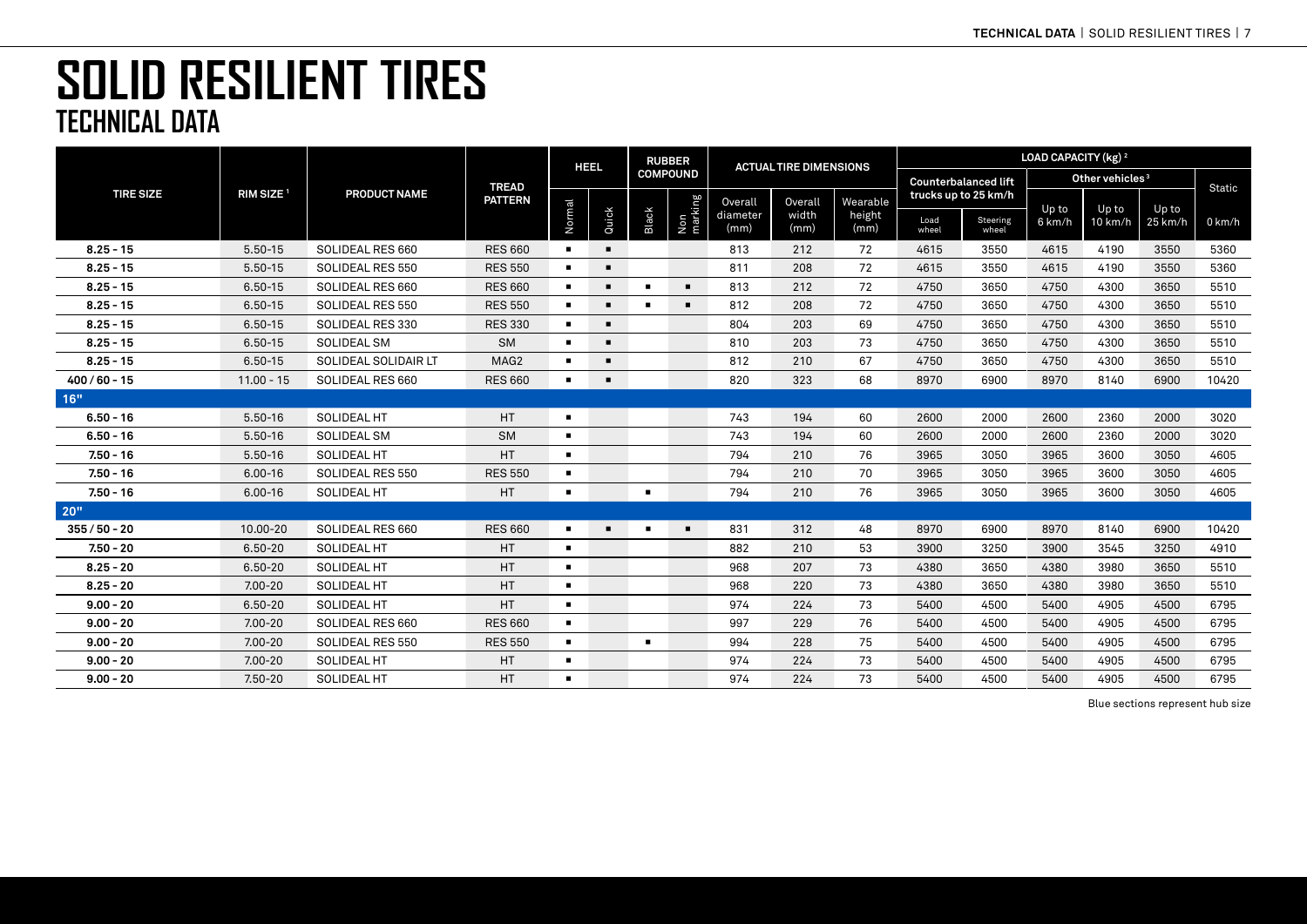|                  |                       |                      |                  |                | <b>HEEL</b>    |                | <b>RUBBER</b>   |                  | <b>ACTUAL TIRE DIMENSIONS</b> |                |               |                             | LOAD CAPACITY (kg) <sup>2</sup> |                             |         |          |
|------------------|-----------------------|----------------------|------------------|----------------|----------------|----------------|-----------------|------------------|-------------------------------|----------------|---------------|-----------------------------|---------------------------------|-----------------------------|---------|----------|
|                  |                       |                      | <b>TREAD</b>     |                |                |                | <b>COMPOUND</b> |                  |                               |                |               | <b>Counterbalanced lift</b> |                                 | Other vehicles <sup>3</sup> |         | Static   |
| <b>TIRE SIZE</b> | RIM SIZE <sup>1</sup> | <b>PRODUCT NAME</b>  | <b>PATTERN</b>   |                |                |                |                 | Overall          | Overall                       | Wearable       |               | trucks up to 25 km/h        |                                 | Up to                       | Up to   |          |
|                  |                       |                      |                  | Normal         | Quick          | Black          | Non<br>marking  | diameter<br>(mm) | width<br>(mm)                 | height<br>(mm) | Load<br>wheel | Steering<br>wheel           | Up to<br>6 km/h                 | 10 km/h                     | 25 km/h | $0$ km/h |
| $8.25 - 15$      | $5.50 - 15$           | SOLIDEAL RES 660     | <b>RES 660</b>   | $\blacksquare$ | $\blacksquare$ |                |                 | 813              | 212                           | 72             | 4615          | 3550                        | 4615                            | 4190                        | 3550    | 5360     |
| $8.25 - 15$      | $5.50 - 15$           | SOLIDEAL RES 550     | <b>RES 550</b>   | $\blacksquare$ | $\blacksquare$ |                |                 | 811              | 208                           | 72             | 4615          | 3550                        | 4615                            | 4190                        | 3550    | 5360     |
| $8.25 - 15$      | 6.50-15               | SOLIDEAL RES 660     | <b>RES 660</b>   | $\blacksquare$ |                | $\blacksquare$ | $\blacksquare$  | 813              | 212                           | 72             | 4750          | 3650                        | 4750                            | 4300                        | 3650    | 5510     |
| $8.25 - 15$      | 6.50-15               | SOLIDEAL RES 550     | <b>RES 550</b>   | $\blacksquare$ | $\blacksquare$ | $\blacksquare$ | $\blacksquare$  | 812              | 208                           | 72             | 4750          | 3650                        | 4750                            | 4300                        | 3650    | 5510     |
| $8.25 - 15$      | 6.50-15               | SOLIDEAL RES 330     | <b>RES 330</b>   | $\blacksquare$ | ٠              |                |                 | 804              | 203                           | 69             | 4750          | 3650                        | 4750                            | 4300                        | 3650    | 5510     |
| $8.25 - 15$      | $6.50 - 15$           | <b>SOLIDEAL SM</b>   | <b>SM</b>        | $\blacksquare$ | $\blacksquare$ |                |                 | 810              | 203                           | 73             | 4750          | 3650                        | 4750                            | 4300                        | 3650    | 5510     |
| $8.25 - 15$      | $6.50 - 15$           | SOLIDEAL SOLIDAIR LT | MAG <sub>2</sub> | $\blacksquare$ | $\blacksquare$ |                |                 | 812              | 210                           | 67             | 4750          | 3650                        | 4750                            | 4300                        | 3650    | 5510     |
| $400/60 - 15$    | $11.00 - 15$          | SOLIDEAL RES 660     | <b>RES 660</b>   | $\blacksquare$ | $\blacksquare$ |                |                 | 820              | 323                           | 68             | 8970          | 6900                        | 8970                            | 8140                        | 6900    | 10420    |
| 16"              |                       |                      |                  |                |                |                |                 |                  |                               |                |               |                             |                                 |                             |         |          |
| $6.50 - 16$      | $5.50 - 16$           | <b>SOLIDEAL HT</b>   | HT               | $\blacksquare$ |                |                |                 | 743              | 194                           | 60             | 2600          | 2000                        | 2600                            | 2360                        | 2000    | 3020     |
| $6.50 - 16$      | $5.50 - 16$           | <b>SOLIDEAL SM</b>   | <b>SM</b>        | $\blacksquare$ |                |                |                 | 743              | 194                           | 60             | 2600          | 2000                        | 2600                            | 2360                        | 2000    | 3020     |
| $7.50 - 16$      | $5.50 - 16$           | <b>SOLIDEAL HT</b>   | HT               | $\blacksquare$ |                |                |                 | 794              | 210                           | 76             | 3965          | 3050                        | 3965                            | 3600                        | 3050    | 4605     |
| $7.50 - 16$      | $6.00 - 16$           | SOLIDEAL RES 550     | <b>RES 550</b>   | $\blacksquare$ |                |                |                 | 794              | 210                           | 70             | 3965          | 3050                        | 3965                            | 3600                        | 3050    | 4605     |
| $7.50 - 16$      | $6.00 - 16$           | SOLIDEAL HT          | HT               | $\blacksquare$ |                | $\blacksquare$ |                 | 794              | 210                           | 76             | 3965          | 3050                        | 3965                            | 3600                        | 3050    | 4605     |
| 20"              |                       |                      |                  |                |                |                |                 |                  |                               |                |               |                             |                                 |                             |         |          |
| $355/50 - 20$    | 10.00-20              | SOLIDEAL RES 660     | <b>RES 660</b>   | $\blacksquare$ | $\blacksquare$ | $\blacksquare$ | $\blacksquare$  | 831              | 312                           | 48             | 8970          | 6900                        | 8970                            | 8140                        | 6900    | 10420    |
| $7.50 - 20$      | $6.50 - 20$           | <b>SOLIDEAL HT</b>   | <b>HT</b>        | $\blacksquare$ |                |                |                 | 882              | 210                           | 53             | 3900          | 3250                        | 3900                            | 3545                        | 3250    | 4910     |
| $8.25 - 20$      | $6.50 - 20$           | <b>SOLIDEAL HT</b>   | <b>HT</b>        | $\blacksquare$ |                |                |                 | 968              | 207                           | 73             | 4380          | 3650                        | 4380                            | 3980                        | 3650    | 5510     |
| $8.25 - 20$      | $7.00 - 20$           | <b>SOLIDEAL HT</b>   | HT               | $\blacksquare$ |                |                |                 | 968              | 220                           | 73             | 4380          | 3650                        | 4380                            | 3980                        | 3650    | 5510     |
| $9.00 - 20$      | $6.50 - 20$           | <b>SOLIDEAL HT</b>   | <b>HT</b>        | $\blacksquare$ |                |                |                 | 974              | 224                           | 73             | 5400          | 4500                        | 5400                            | 4905                        | 4500    | 6795     |
| $9.00 - 20$      | $7.00 - 20$           | SOLIDEAL RES 660     | <b>RES 660</b>   | $\blacksquare$ |                |                |                 | 997              | 229                           | 76             | 5400          | 4500                        | 5400                            | 4905                        | 4500    | 6795     |
| $9.00 - 20$      | $7.00 - 20$           | SOLIDEAL RES 550     | <b>RES 550</b>   | $\blacksquare$ |                | $\blacksquare$ |                 | 994              | 228                           | 75             | 5400          | 4500                        | 5400                            | 4905                        | 4500    | 6795     |
| $9.00 - 20$      | $7.00 - 20$           | SOLIDEAL HT          | HT               | $\blacksquare$ |                |                |                 | 974              | 224                           | 73             | 5400          | 4500                        | 5400                            | 4905                        | 4500    | 6795     |
| $9.00 - 20$      | $7.50 - 20$           | <b>SOLIDEAL HT</b>   | <b>HT</b>        | $\blacksquare$ |                |                |                 | 974              | 224                           | 73             | 5400          | 4500                        | 5400                            | 4905                        | 4500    | 6795     |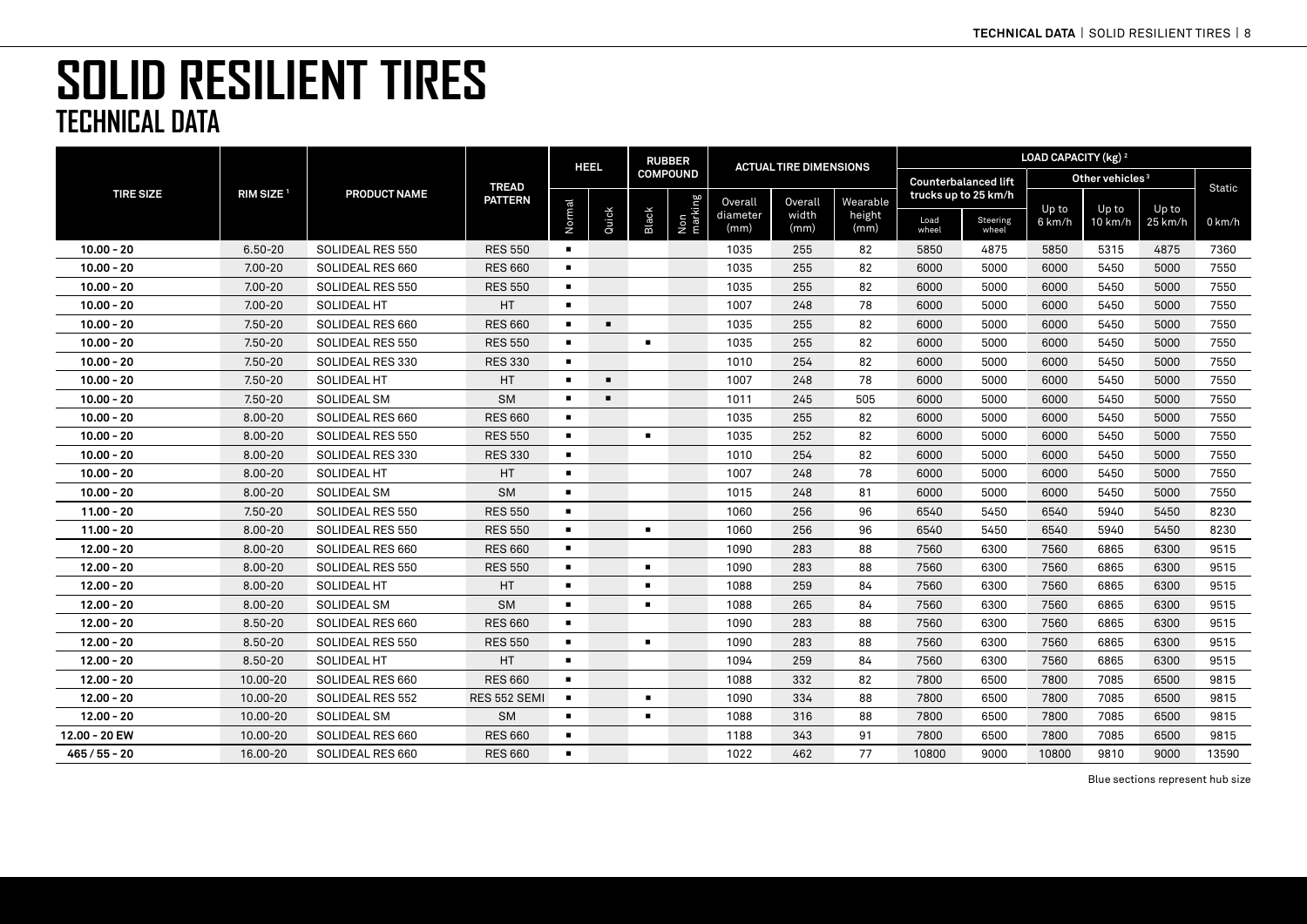|                  |                       |                     |                |                | <b>HEEL</b>    |                | <b>RUBBER</b>   |                  | <b>ACTUAL TIRE DIMENSIONS</b> |                |               |                             | LOAD CAPACITY (kg) <sup>2</sup> |                             |         |          |
|------------------|-----------------------|---------------------|----------------|----------------|----------------|----------------|-----------------|------------------|-------------------------------|----------------|---------------|-----------------------------|---------------------------------|-----------------------------|---------|----------|
|                  |                       |                     | <b>TREAD</b>   |                |                |                | <b>COMPOUND</b> |                  |                               |                |               | <b>Counterbalanced lift</b> |                                 | Other vehicles <sup>3</sup> |         | Static   |
| <b>TIRE SIZE</b> | RIM SIZE <sup>1</sup> | <b>PRODUCT NAME</b> | <b>PATTERN</b> |                |                |                |                 | Overall          | Overall                       | Wearable       |               | trucks up to 25 km/h        | Up to                           | Up to                       | Up to   |          |
|                  |                       |                     |                | Normal         | Quick          | Black          | Non<br>marking  | diameter<br>(mm) | width<br>(mm)                 | height<br>(mm) | Load<br>wheel | Steering<br>wheel           | 6 km/h                          | 10 km/h                     | 25 km/h | $0$ km/h |
| $10.00 - 20$     | $6.50 - 20$           | SOLIDEAL RES 550    | <b>RES 550</b> | $\blacksquare$ |                |                |                 | 1035             | 255                           | 82             | 5850          | 4875                        | 5850                            | 5315                        | 4875    | 7360     |
| $10.00 - 20$     | $7.00 - 20$           | SOLIDEAL RES 660    | <b>RES 660</b> | $\blacksquare$ |                |                |                 | 1035             | 255                           | 82             | 6000          | 5000                        | 6000                            | 5450                        | 5000    | 7550     |
| $10.00 - 20$     | $7.00 - 20$           | SOLIDEAL RES 550    | <b>RES 550</b> | $\blacksquare$ |                |                |                 | 1035             | 255                           | 82             | 6000          | 5000                        | 6000                            | 5450                        | 5000    | 7550     |
| $10.00 - 20$     | $7.00 - 20$           | SOLIDEAL HT         | HT             | $\blacksquare$ |                |                |                 | 1007             | 248                           | 78             | 6000          | 5000                        | 6000                            | 5450                        | 5000    | 7550     |
| $10.00 - 20$     | $7.50 - 20$           | SOLIDEAL RES 660    | <b>RES 660</b> | $\blacksquare$ | $\blacksquare$ |                |                 | 1035             | 255                           | 82             | 6000          | 5000                        | 6000                            | 5450                        | 5000    | 7550     |
| $10.00 - 20$     | $7.50 - 20$           | SOLIDEAL RES 550    | <b>RES 550</b> | $\blacksquare$ |                | $\blacksquare$ |                 | 1035             | 255                           | 82             | 6000          | 5000                        | 6000                            | 5450                        | 5000    | 7550     |
| $10.00 - 20$     | 7.50-20               | SOLIDEAL RES 330    | <b>RES 330</b> | $\blacksquare$ |                |                |                 | 1010             | 254                           | 82             | 6000          | 5000                        | 6000                            | 5450                        | 5000    | 7550     |
| $10.00 - 20$     | 7.50-20               | SOLIDEAL HT         | HT             | $\blacksquare$ | $\blacksquare$ |                |                 | 1007             | 248                           | 78             | 6000          | 5000                        | 6000                            | 5450                        | 5000    | 7550     |
| $10.00 - 20$     | $7.50 - 20$           | <b>SOLIDEAL SM</b>  | <b>SM</b>      | $\blacksquare$ | п              |                |                 | 1011             | 245                           | 505            | 6000          | 5000                        | 6000                            | 5450                        | 5000    | 7550     |
| $10.00 - 20$     | $8.00 - 20$           | SOLIDEAL RES 660    | <b>RES 660</b> | $\blacksquare$ |                |                |                 | 1035             | 255                           | 82             | 6000          | 5000                        | 6000                            | 5450                        | 5000    | 7550     |
| $10.00 - 20$     | $8.00 - 20$           | SOLIDEAL RES 550    | <b>RES 550</b> | $\blacksquare$ |                | $\blacksquare$ |                 | 1035             | 252                           | 82             | 6000          | 5000                        | 6000                            | 5450                        | 5000    | 7550     |
| $10.00 - 20$     | $8.00 - 20$           | SOLIDEAL RES 330    | <b>RES 330</b> | $\blacksquare$ |                |                |                 | 1010             | 254                           | 82             | 6000          | 5000                        | 6000                            | 5450                        | 5000    | 7550     |
| $10.00 - 20$     | $8.00 - 20$           | SOLIDEAL HT         | HT.            | $\blacksquare$ |                |                |                 | 1007             | 248                           | 78             | 6000          | 5000                        | 6000                            | 5450                        | 5000    | 7550     |
| $10.00 - 20$     | $8.00 - 20$           | SOLIDEAL SM         | <b>SM</b>      | $\blacksquare$ |                |                |                 | 1015             | 248                           | 81             | 6000          | 5000                        | 6000                            | 5450                        | 5000    | 7550     |
| $11.00 - 20$     | $7.50 - 20$           | SOLIDEAL RES 550    | <b>RES 550</b> | $\blacksquare$ |                |                |                 | 1060             | 256                           | 96             | 6540          | 5450                        | 6540                            | 5940                        | 5450    | 8230     |
| $11.00 - 20$     | $8.00 - 20$           | SOLIDEAL RES 550    | <b>RES 550</b> | $\blacksquare$ |                | $\blacksquare$ |                 | 1060             | 256                           | 96             | 6540          | 5450                        | 6540                            | 5940                        | 5450    | 8230     |
| $12.00 - 20$     | $8.00 - 20$           | SOLIDEAL RES 660    | <b>RES 660</b> | $\blacksquare$ |                |                |                 | 1090             | 283                           | 88             | 7560          | 6300                        | 7560                            | 6865                        | 6300    | 9515     |
| $12.00 - 20$     | $8.00 - 20$           | SOLIDEAL RES 550    | <b>RES 550</b> | $\blacksquare$ |                | $\blacksquare$ |                 | 1090             | 283                           | 88             | 7560          | 6300                        | 7560                            | 6865                        | 6300    | 9515     |
| $12.00 - 20$     | $8.00 - 20$           | SOLIDEAL HT         | <b>HT</b>      | $\blacksquare$ |                | $\blacksquare$ |                 | 1088             | 259                           | 84             | 7560          | 6300                        | 7560                            | 6865                        | 6300    | 9515     |
| $12.00 - 20$     | $8.00 - 20$           | <b>SOLIDEAL SM</b>  | <b>SM</b>      | $\blacksquare$ |                | $\blacksquare$ |                 | 1088             | 265                           | 84             | 7560          | 6300                        | 7560                            | 6865                        | 6300    | 9515     |
| $12.00 - 20$     | $8.50 - 20$           | SOLIDEAL RES 660    | <b>RES 660</b> | $\blacksquare$ |                |                |                 | 1090             | 283                           | 88             | 7560          | 6300                        | 7560                            | 6865                        | 6300    | 9515     |
| $12.00 - 20$     | $8.50 - 20$           | SOLIDEAL RES 550    | <b>RES 550</b> | $\blacksquare$ |                | $\blacksquare$ |                 | 1090             | 283                           | 88             | 7560          | 6300                        | 7560                            | 6865                        | 6300    | 9515     |
| $12.00 - 20$     | $8.50 - 20$           | <b>SOLIDEAL HT</b>  | <b>HT</b>      | $\blacksquare$ |                |                |                 | 1094             | 259                           | 84             | 7560          | 6300                        | 7560                            | 6865                        | 6300    | 9515     |
| $12.00 - 20$     | 10.00-20              | SOLIDEAL RES 660    | <b>RES 660</b> | $\blacksquare$ |                |                |                 | 1088             | 332                           | 82             | 7800          | 6500                        | 7800                            | 7085                        | 6500    | 9815     |
| $12.00 - 20$     | 10.00-20              | SOLIDEAL RES 552    | RES 552 SEMI   | $\blacksquare$ |                | $\blacksquare$ |                 | 1090             | 334                           | 88             | 7800          | 6500                        | 7800                            | 7085                        | 6500    | 9815     |
| $12.00 - 20$     | 10.00-20              | SOLIDEAL SM         | <b>SM</b>      | $\blacksquare$ |                | $\blacksquare$ |                 | 1088             | 316                           | 88             | 7800          | 6500                        | 7800                            | 7085                        | 6500    | 9815     |
| 12.00 - 20 EW    | 10.00-20              | SOLIDEAL RES 660    | <b>RES 660</b> | $\blacksquare$ |                |                |                 | 1188             | 343                           | 91             | 7800          | 6500                        | 7800                            | 7085                        | 6500    | 9815     |
| $465/55 - 20$    | 16.00-20              | SOLIDEAL RES 660    | <b>RES 660</b> | $\blacksquare$ |                |                |                 | 1022             | 462                           | 77             | 10800         | 9000                        | 10800                           | 9810                        | 9000    | 13590    |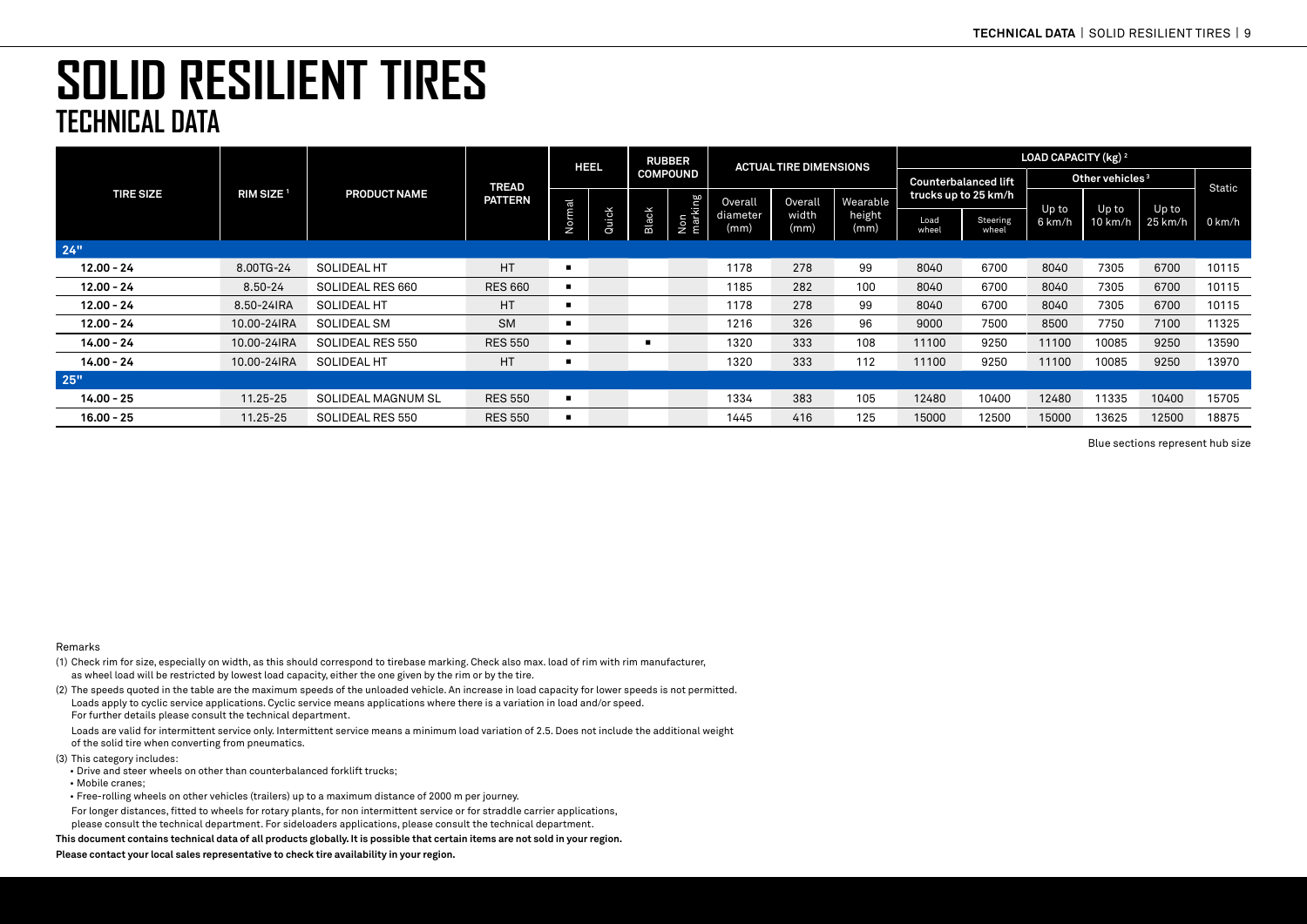|                  |                       |                     |                |        | HEEL  |       | <b>RUBBER</b>   |                  | <b>ACTUAL TIRE DIMENSIONS</b> |                |               |                             | LOAD CAPACITY (kg) <sup>2</sup> |                             |         |          |
|------------------|-----------------------|---------------------|----------------|--------|-------|-------|-----------------|------------------|-------------------------------|----------------|---------------|-----------------------------|---------------------------------|-----------------------------|---------|----------|
|                  |                       |                     | TREAD          |        |       |       | <b>COMPOUND</b> |                  |                               |                |               | <b>Counterbalanced lift</b> |                                 | Other vehicles <sup>3</sup> |         | Static   |
| <b>TIRE SIZE</b> | RIM SIZE <sup>1</sup> | <b>PRODUCT NAME</b> | <b>PATTERN</b> |        |       |       |                 | Overall          | Overall                       | Wearable       |               | trucks up to 25 km/h        | Up to                           | Up to                       | Up to   |          |
|                  |                       |                     |                | Normal | Quick | Black | Non<br>marking  | diameter<br>(mm) | width<br>(mm)                 | height<br>(mm) | Load<br>wheel | Steering<br>wheel           | 6 km/h                          | 10 km/h                     | 25 km/h | $0$ km/h |
| 24"              |                       |                     |                |        |       |       |                 |                  |                               |                |               |                             |                                 |                             |         |          |
| $12.00 - 24$     | 8.00TG-24             | <b>SOLIDEAL HT</b>  | <b>HT</b>      | ٠      |       |       |                 | 1178             | 278                           | 99             | 8040          | 6700                        | 8040                            | 7305                        | 6700    | 10115    |
| $12.00 - 24$     | $8.50 - 24$           | SOLIDEAL RES 660    | <b>RES 660</b> |        |       |       |                 | 1185             | 282                           | 100            | 8040          | 6700                        | 8040                            | 7305                        | 6700    | 10115    |
| $12.00 - 24$     | 8.50-24IRA            | <b>SOLIDEAL HT</b>  | HT             |        |       |       |                 | 1178             | 278                           | 99             | 8040          | 6700                        | 8040                            | 7305                        | 6700    | 10115    |
| $12.00 - 24$     | 10.00-24IRA           | SOLIDEAL SM         | <b>SM</b>      |        |       |       |                 | 1216             | 326                           | 96             | 9000          | 7500                        | 8500                            | 7750                        | 7100    | 11325    |
| $14.00 - 24$     | 10.00-24IRA           | SOLIDEAL RES 550    | <b>RES 550</b> |        |       |       |                 | 1320             | 333                           | 108            | 11100         | 9250                        | 11100                           | 10085                       | 9250    | 13590    |
| $14.00 - 24$     | 10.00-24IRA           | <b>SOLIDEAL HT</b>  | <b>HT</b>      |        |       |       |                 | 1320             | 333                           | 112            | 11100         | 9250                        | 11100                           | 10085                       | 9250    | 13970    |
| 25"              |                       |                     |                |        |       |       |                 |                  |                               |                |               |                             |                                 |                             |         |          |
| $14.00 - 25$     | 11.25-25              | SOLIDEAL MAGNUM SL  | <b>RES 550</b> |        |       |       |                 | 1334             | 383                           | 105            | 12480         | 10400                       | 12480                           | 11335                       | 10400   | 15705    |
| $16.00 - 25$     | 11.25-25              | SOLIDEAL RES 550    | <b>RES 550</b> | п      |       |       |                 | 1445             | 416                           | 125            | 15000         | 12500                       | 15000                           | 13625                       | 12500   | 18875    |

Blue sections represent hub size

#### Remarks

- (1) Check rim for size, especially on width, as this should correspond to tirebase marking. Check also max. load of rim with rim manufacturer, as wheel load will be restricted by lowest load capacity, either the one given by the rim or by the tire.
- (2) The speeds quoted in the table are the maximum speeds of the unloaded vehicle. An increase in load capacity for lower speeds is not permitted. Loads apply to cyclic service applications. Cyclic service means applications where there is a variation in load and/or speed. For further details please consult the technical department.
	- Loads are valid for intermittent service only. Intermittent service means a minimum load variation of 2.5. Does not include the additional weight of the solid tire when converting from pneumatics.
- (3) This category includes:
- Drive and steer wheels on other than counterbalanced forklift trucks;
- Mobile cranes;
- Free-rolling wheels on other vehicles (trailers) up to a maximum distance of 2000 m per journey.
- For longer distances, fitted to wheels for rotary plants, for non intermittent service or for straddle carrier applications, please consult the technical department. For sideloaders applications, please consult the technical department.
- **This document contains technical data of all products globally. It is possible that certain items are not sold in your region.**

**Please contact your local sales representative to check tire availability in your region.**